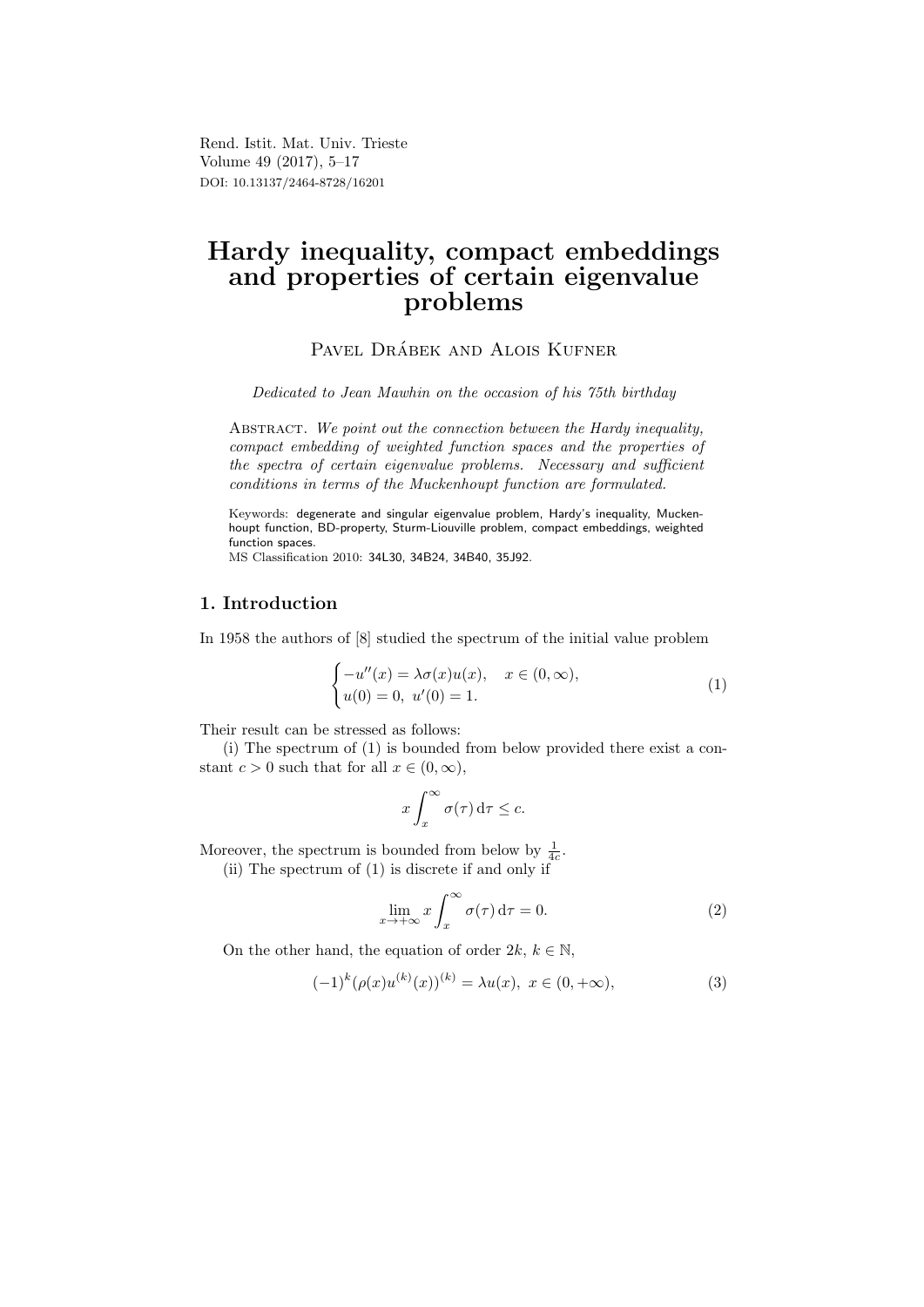Rend. Istit. Mat. Univ. Trieste Volume 49 (2017), 5–17 DOI: 10.13137/2464-8728/16201

# Hardy inequality, compact embeddings and properties of certain eigenvalue problems

PAVEL DRÁBEK AND ALOIS KUFNER

Dedicated to Jean Mawhin on the occasion of his 75th birthday

ABSTRACT. We point out the connection between the Hardy inequality, compact embedding of weighted function spaces and the properties of the spectra of certain eigenvalue problems. Necessary and sufficient conditions in terms of the Muckenhoupt function are formulated.

Keywords: degenerate and singular eigenvalue problem, Hardy's inequality, Muckenhoupt function, BD-property, Sturm-Liouville problem, compact embeddings, weighted function spaces.

MS Classification 2010: 34L30, 34B24, 34B40, 35J92.

### 1. Introduction

In 1958 the authors of [8] studied the spectrum of the initial value problem

$$
\begin{cases}\n-u''(x) = \lambda \sigma(x)u(x), & x \in (0, \infty), \\
u(0) = 0, u'(0) = 1.\n\end{cases}
$$
\n(1)

Their result can be stressed as follows:

(i) The spectrum of (1) is bounded from below provided there exist a constant  $c > 0$  such that for all  $x \in (0, \infty)$ ,

$$
x\int_x^\infty \sigma(\tau)\,\mathrm{d}\tau\leq c.
$$

Moreover, the spectrum is bounded from below by  $\frac{1}{4c}$ .

(ii) The spectrum of (1) is discrete if and only if

$$
\lim_{x \to +\infty} x \int_x^{\infty} \sigma(\tau) d\tau = 0.
$$
 (2)

On the other hand, the equation of order  $2k, k \in \mathbb{N}$ ,

$$
(-1)^{k} (\rho(x)u^{(k)}(x))^{(k)} = \lambda u(x), \ x \in (0, +\infty), \tag{3}
$$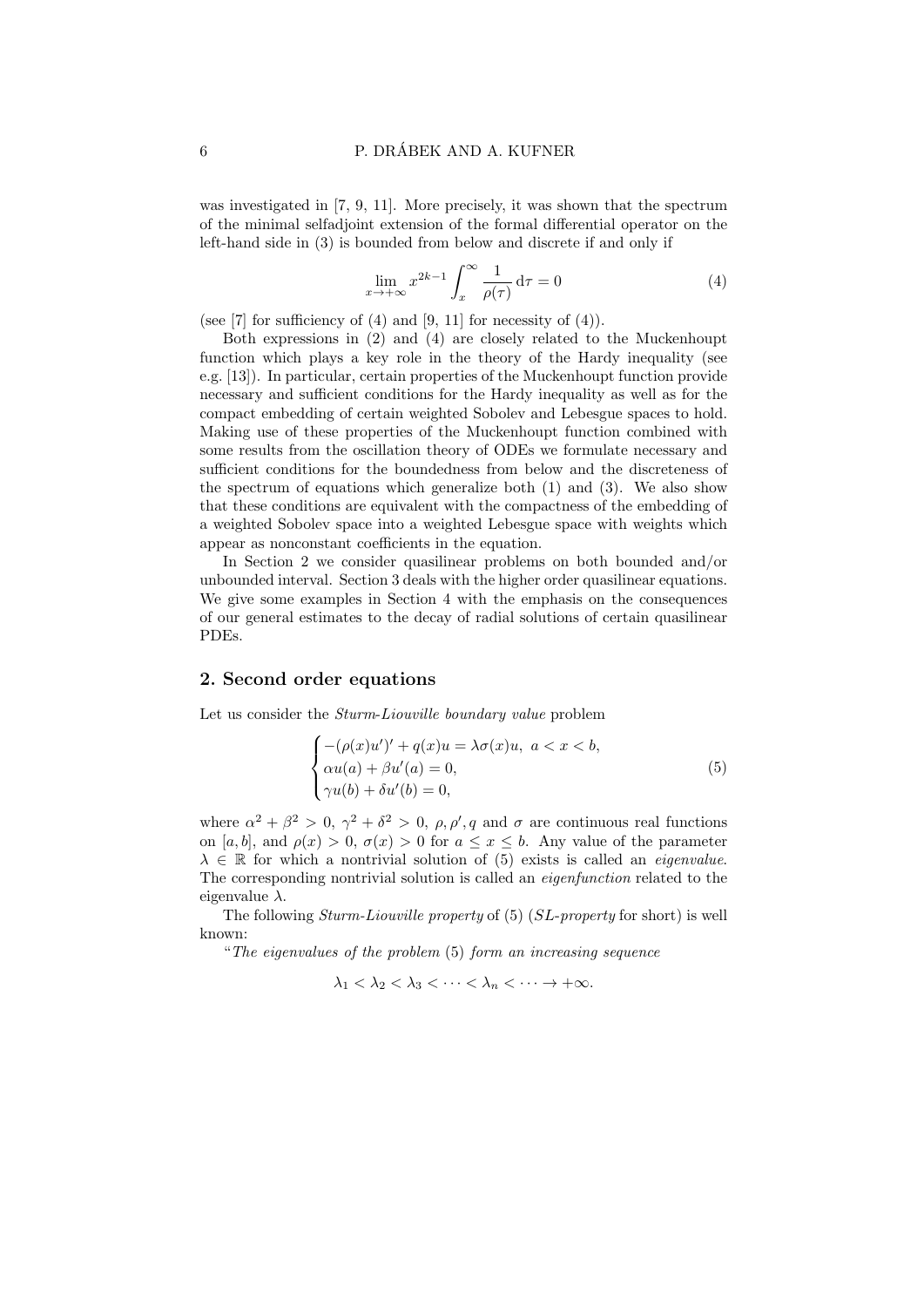was investigated in [7, 9, 11]. More precisely, it was shown that the spectrum of the minimal selfadjoint extension of the formal differential operator on the left-hand side in (3) is bounded from below and discrete if and only if

$$
\lim_{x \to +\infty} x^{2k-1} \int_x^{\infty} \frac{1}{\rho(\tau)} d\tau = 0
$$
\n(4)

(see [7] for sufficiency of (4) and [9, 11] for necessity of (4)).

Both expressions in (2) and (4) are closely related to the Muckenhoupt function which plays a key role in the theory of the Hardy inequality (see e.g. [13]). In particular, certain properties of the Muckenhoupt function provide necessary and sufficient conditions for the Hardy inequality as well as for the compact embedding of certain weighted Sobolev and Lebesgue spaces to hold. Making use of these properties of the Muckenhoupt function combined with some results from the oscillation theory of ODEs we formulate necessary and sufficient conditions for the boundedness from below and the discreteness of the spectrum of equations which generalize both  $(1)$  and  $(3)$ . We also show that these conditions are equivalent with the compactness of the embedding of a weighted Sobolev space into a weighted Lebesgue space with weights which appear as nonconstant coefficients in the equation.

In Section 2 we consider quasilinear problems on both bounded and/or unbounded interval. Section 3 deals with the higher order quasilinear equations. We give some examples in Section 4 with the emphasis on the consequences of our general estimates to the decay of radial solutions of certain quasilinear PDEs.

#### 2. Second order equations

Let us consider the *Sturm-Liouville boundary value* problem

$$
\begin{cases}\n-(\rho(x)u')' + q(x)u = \lambda \sigma(x)u, \ a < x < b, \\
\alpha u(a) + \beta u'(a) = 0, \\
\gamma u(b) + \delta u'(b) = 0,\n\end{cases}
$$
\n(5)

where  $\alpha^2 + \beta^2 > 0$ ,  $\gamma^2 + \delta^2 > 0$ ,  $\rho$ ,  $\rho'$ , q and  $\sigma$  are continuous real functions on [a, b], and  $\rho(x) > 0$ ,  $\sigma(x) > 0$  for  $a \leq x \leq b$ . Any value of the parameter  $\lambda \in \mathbb{R}$  for which a nontrivial solution of (5) exists is called an *eigenvalue*. The corresponding nontrivial solution is called an eigenfunction related to the eigenvalue  $\lambda$ .

The following Sturm-Liouville property of (5) (SL-property for short) is well known:

"The eigenvalues of the problem (5) form an increasing sequence

 $\lambda_1 < \lambda_2 < \lambda_3 < \cdots < \lambda_n < \cdots \to +\infty$ .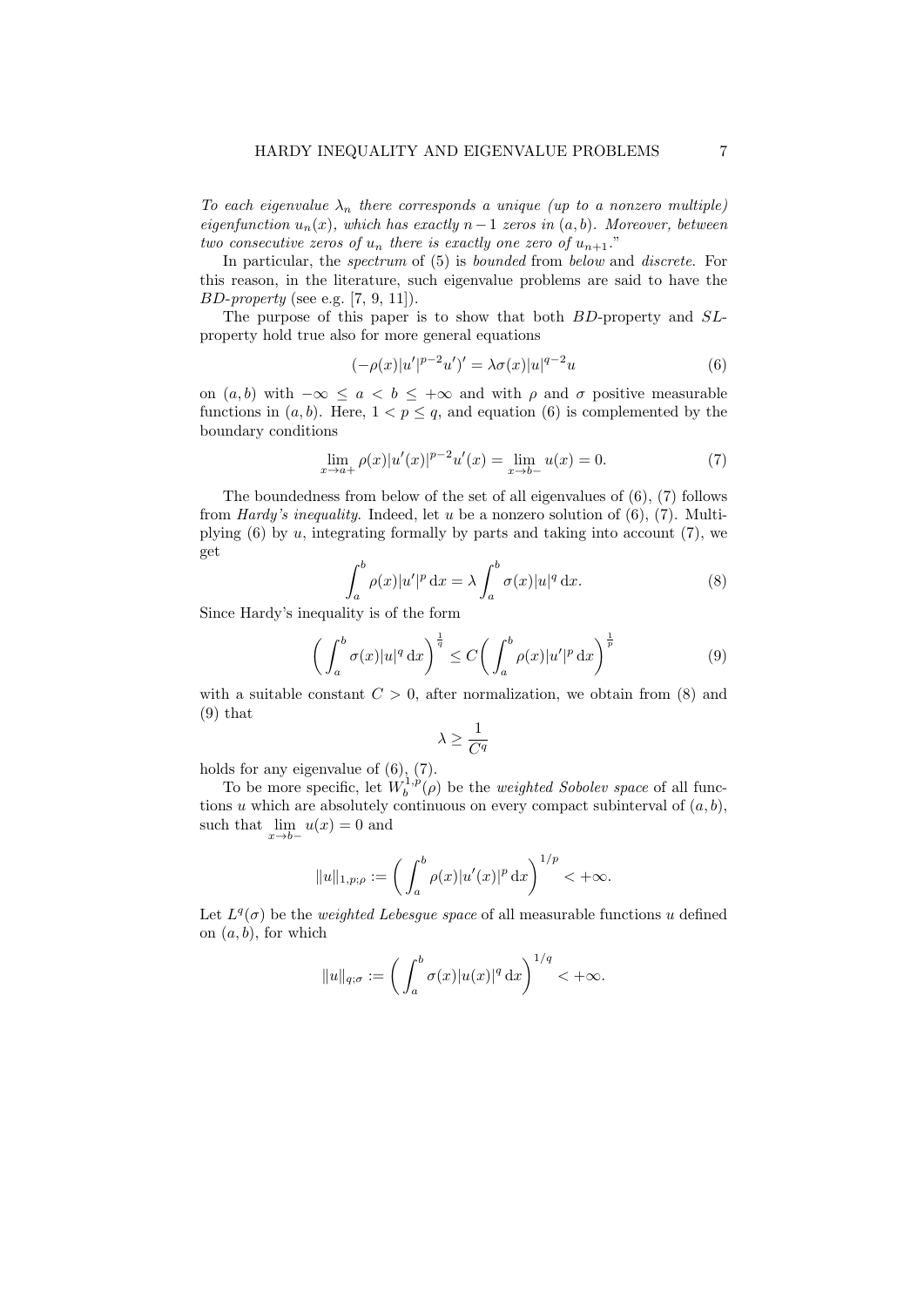To each eigenvalue  $\lambda_n$  there corresponds a unique (up to a nonzero multiple) eigenfunction  $u_n(x)$ , which has exactly  $n-1$  zeros in  $(a, b)$ . Moreover, between two consecutive zeros of  $u_n$  there is exactly one zero of  $u_{n+1}$ ."

In particular, the *spectrum* of (5) is *bounded* from *below* and *discrete*. For this reason, in the literature, such eigenvalue problems are said to have the  $BD\text{-}property$  (see e.g. [7, 9, 11]).

The purpose of this paper is to show that both BD-property and SLproperty hold true also for more general equations

$$
(-\rho(x)|u'|^{p-2}u')' = \lambda \sigma(x)|u|^{q-2}u
$$
\n(6)

on  $(a, b)$  with  $-\infty \le a < b \le +\infty$  and with  $\rho$  and  $\sigma$  positive measurable functions in  $(a, b)$ . Here,  $1 < p \leq q$ , and equation (6) is complemented by the boundary conditions

$$
\lim_{x \to a+} \rho(x)|u'(x)|^{p-2}u'(x) = \lim_{x \to b-} u(x) = 0.
$$
 (7)

The boundedness from below of the set of all eigenvalues of (6), (7) follows from *Hardy's inequality*. Indeed, let u be a nonzero solution of  $(6)$ ,  $(7)$ . Multiplying  $(6)$  by  $u$ , integrating formally by parts and taking into account  $(7)$ , we get

$$
\int_{a}^{b} \rho(x)|u'|^{p} dx = \lambda \int_{a}^{b} \sigma(x)|u|^{q} dx.
$$
 (8)

Since Hardy's inequality is of the form

$$
\left(\int_{a}^{b} \sigma(x)|u|^{q} dx\right)^{\frac{1}{q}} \le C\left(\int_{a}^{b} \rho(x)|u'|^{p} dx\right)^{\frac{1}{p}} \tag{9}
$$

with a suitable constant  $C > 0$ , after normalization, we obtain from (8) and  $(9)$  that

$$
\lambda \geq \frac{1}{C^q}
$$

holds for any eigenvalue of (6), (7).

To be more specific, let  $W_b^{1,p}(\rho)$  be the *weighted Sobolev space* of all functions u which are absolutely continuous on every compact subinterval of  $(a, b)$ , such that  $\lim_{x \to b-} u(x) = 0$  and

$$
||u||_{1,p;\rho} := \left(\int_a^b \rho(x)|u'(x)|^p \,\mathrm{d}x\right)^{1/p} < +\infty.
$$

Let  $L^q(\sigma)$  be the *weighted Lebesgue space* of all measurable functions u defined on  $(a, b)$ , for which

$$
||u||_{q;\sigma} := \left(\int_a^b \sigma(x) |u(x)|^q dx\right)^{1/q} < +\infty.
$$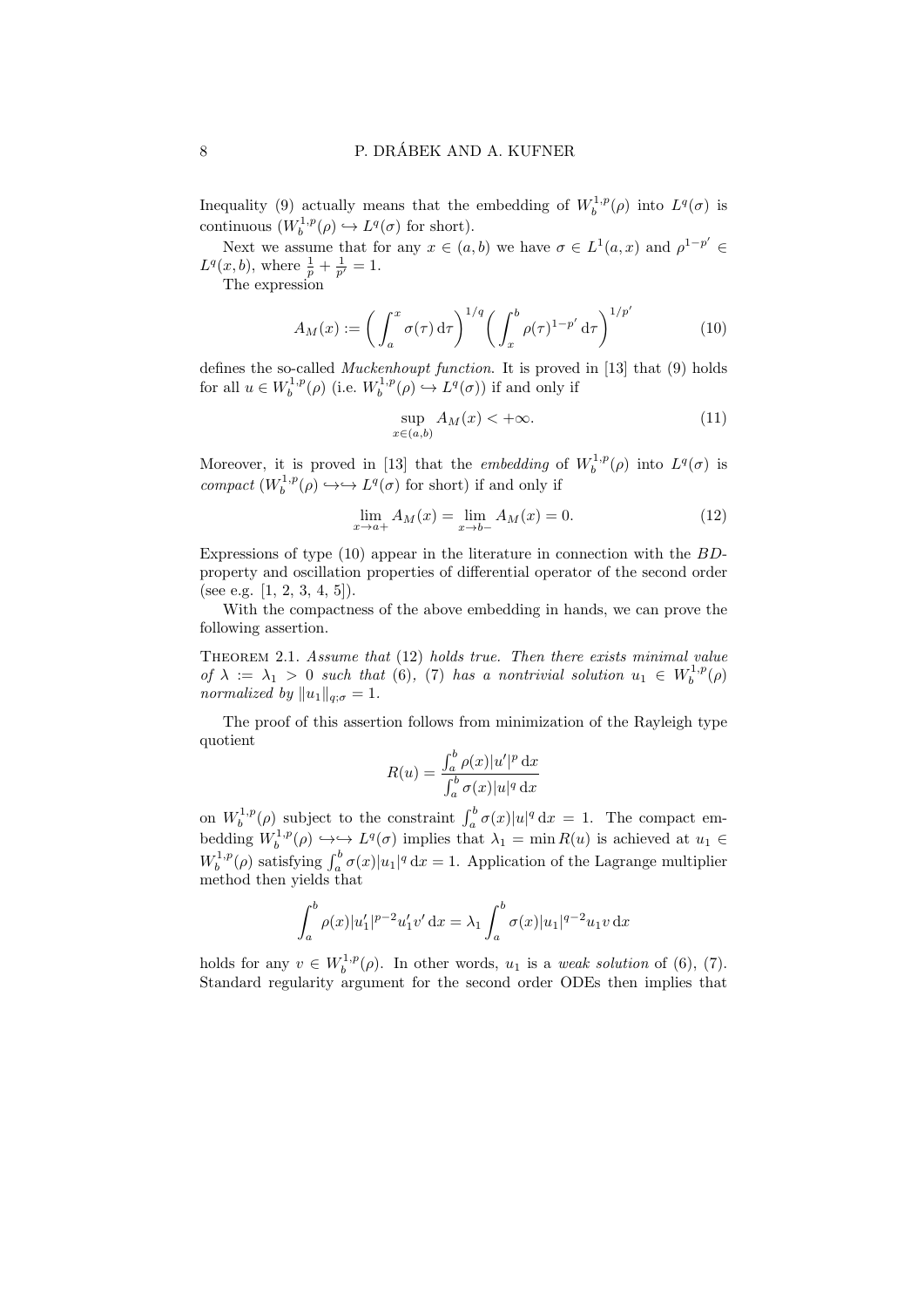Inequality (9) actually means that the embedding of  $W_b^{1,p}(\rho)$  into  $L^q(\sigma)$  is continuous  $(W_b^{1,p}(\rho) \hookrightarrow L^q(\sigma)$  for short).

Next we assume that for any  $x \in (a, b)$  we have  $\sigma \in L^1(a, x)$  and  $\rho^{1-p'} \in$  $L^q(x, b)$ , where  $\frac{1}{p} + \frac{1}{p'} = 1$ .

The expression

$$
A_M(x) := \left(\int_a^x \sigma(\tau) d\tau\right)^{1/q} \left(\int_x^b \rho(\tau)^{1-p'} d\tau\right)^{1/p'}\tag{10}
$$

defines the so-called Muckenhoupt function. It is proved in [13] that (9) holds for all  $u \in W_b^{1,p}(\rho)$  (i.e.  $W_b^{1,p}(\rho) \hookrightarrow L^q(\sigma)$ ) if and only if

$$
\sup_{x \in (a,b)} A_M(x) < +\infty. \tag{11}
$$

Moreover, it is proved in [13] that the *embedding* of  $W_b^{1,p}(\rho)$  into  $L^q(\sigma)$  is compact  $(W_b^{1,p}(\rho) \hookrightarrow \hookrightarrow L^q(\sigma)$  for short) if and only if

$$
\lim_{x \to a+} A_M(x) = \lim_{x \to b-} A_M(x) = 0.
$$
\n(12)

Expressions of type  $(10)$  appear in the literature in connection with the  $BD$ property and oscillation properties of differential operator of the second order (see e.g.  $[1, 2, 3, 4, 5]$ ).

With the compactness of the above embedding in hands, we can prove the following assertion.

THEOREM 2.1. Assume that (12) holds true. Then there exists minimal value of  $\lambda := \lambda_1 > 0$  such that (6), (7) has a nontrivial solution  $u_1 \in W_b^{1,p}(\rho)$ normalized by  $||u_1||_{q; \sigma} = 1$ .

The proof of this assertion follows from minimization of the Rayleigh type quotient

$$
R(u) = \frac{\int_a^b \rho(x)|u'|^p \, \mathrm{d}x}{\int_a^b \sigma(x)|u|^q \, \mathrm{d}x}
$$

on  $W_b^{1,p}(\rho)$  subject to the constraint  $\int_a^b \sigma(x)|u|^q dx = 1$ . The compact embedding  $W_b^{1,p}(\rho) \hookrightarrow \longrightarrow L^q(\sigma)$  implies that  $\lambda_1 = \min R(u)$  is achieved at  $u_1 \in$  $W_b^{1,p}(\rho)$  satisfying  $\int_a^b \sigma(x)|u_1|^q dx = 1$ . Application of the Lagrange multiplier method then yields that

$$
\int_a^b \rho(x)|u'_1|^{p-2}u'_1v'\,\mathrm{d}x = \lambda_1 \int_a^b \sigma(x)|u_1|^{q-2}u_1v\,\mathrm{d}x
$$

holds for any  $v \in W_b^{1,p}(\rho)$ . In other words,  $u_1$  is a *weak solution* of (6), (7). Standard regularity argument for the second order ODEs then implies that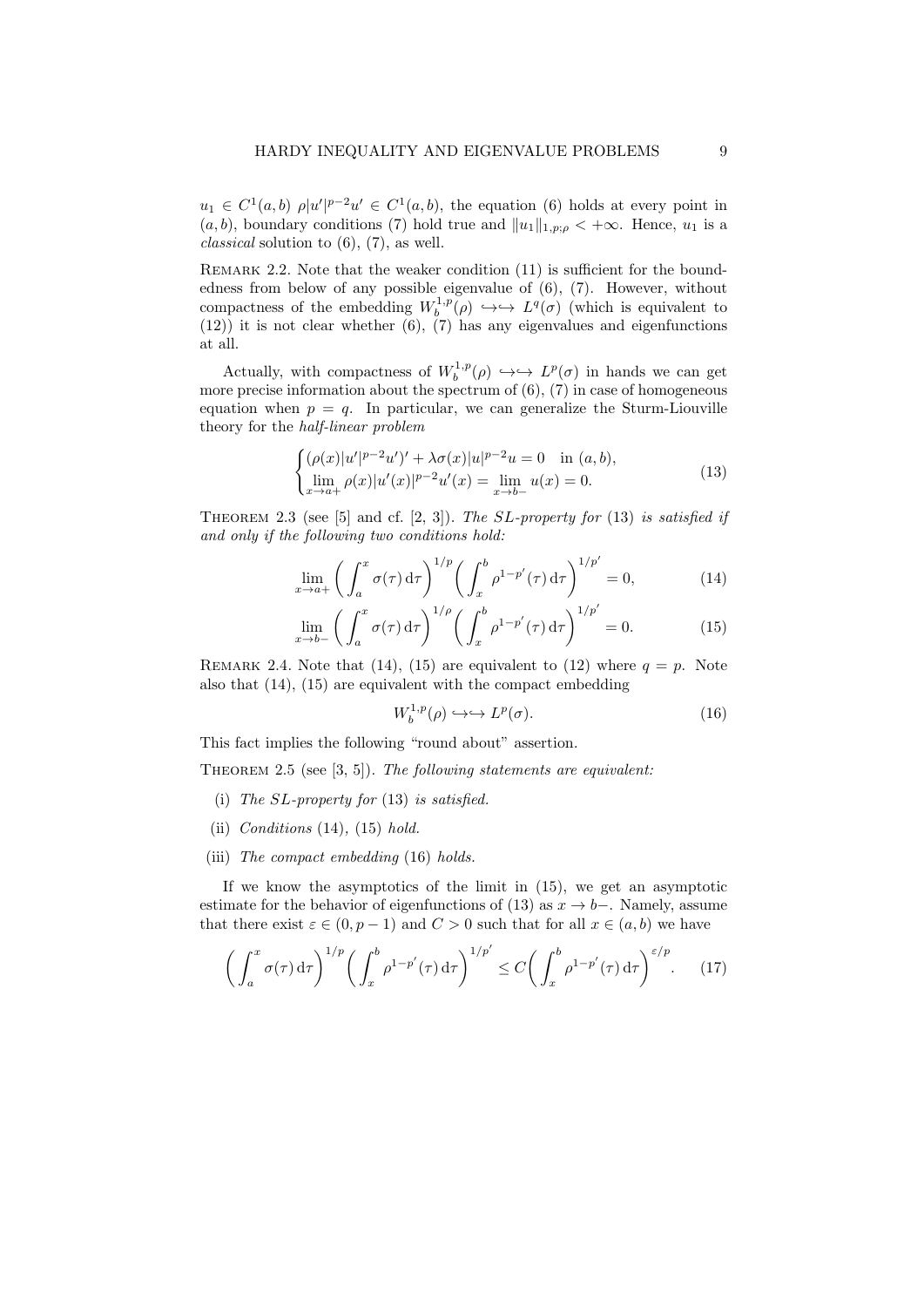$u_1 \in C^1(a,b)$   $\rho |u'|^{p-2}u' \in C^1(a,b)$ , the equation (6) holds at every point in  $(a, b)$ , boundary conditions (7) hold true and  $||u_1||_{1,p;\rho} < +\infty$ . Hence,  $u_1$  is a *classical* solution to  $(6)$ ,  $(7)$ , as well.

REMARK 2.2. Note that the weaker condition (11) is sufficient for the boundedness from below of any possible eigenvalue of (6), (7). However, without compactness of the embedding  $W_b^{1,p}(\rho) \hookrightarrow \hookrightarrow L^q(\sigma)$  (which is equivalent to  $(12)$ ) it is not clear whether  $(6)$ ,  $(7)$  has any eigenvalues and eigenfunctions at all.

Actually, with compactness of  $W_b^{1,p}(\rho) \hookrightarrow \hookrightarrow L^p(\sigma)$  in hands we can get more precise information about the spectrum of  $(6)$ ,  $(7)$  in case of homogeneous equation when  $p = q$ . In particular, we can generalize the Sturm-Liouville theory for the half-linear problem

$$
\begin{cases}\n(\rho(x)|u'|^{p-2}u')' + \lambda \sigma(x)|u|^{p-2}u = 0 & \text{in } (a, b), \\
\lim_{x \to a+} \rho(x)|u'(x)|^{p-2}u'(x) = \lim_{x \to b-} u(x) = 0.\n\end{cases}
$$
\n(13)

THEOREM 2.3 (see [5] and cf.  $[2, 3]$ ). The SL-property for  $(13)$  is satisfied if and only if the following two conditions hold:

$$
\lim_{x \to a+} \left( \int_a^x \sigma(\tau) d\tau \right)^{1/p} \left( \int_x^b \rho^{1-p'}(\tau) d\tau \right)^{1/p'} = 0,
$$
\n(14)

$$
\lim_{x \to b-} \left( \int_a^x \sigma(\tau) d\tau \right)^{1/\rho} \left( \int_x^b \rho^{1-p'}(\tau) d\tau \right)^{1/p'} = 0. \tag{15}
$$

REMARK 2.4. Note that (14), (15) are equivalent to (12) where  $q = p$ . Note also that (14), (15) are equivalent with the compact embedding

$$
W_b^{1,p}(\rho) \hookrightarrow \hookrightarrow L^p(\sigma). \tag{16}
$$

This fact implies the following "round about" assertion.

THEOREM 2.5 (see  $[3, 5]$ ). The following statements are equivalent:

- (i) The  $SL$ -property for  $(13)$  is satisfied.
- (ii) Conditions  $(14)$ ,  $(15)$  hold.
- (iii) The compact embedding (16) holds.

If we know the asymptotics of the limit in (15), we get an asymptotic estimate for the behavior of eigenfunctions of (13) as  $x \to b-$ . Namely, assume that there exist  $\varepsilon \in (0, p-1)$  and  $C > 0$  such that for all  $x \in (a, b)$  we have

$$
\left(\int_a^x \sigma(\tau) d\tau\right)^{1/p} \left(\int_x^b \rho^{1-p'}(\tau) d\tau\right)^{1/p'} \le C \left(\int_x^b \rho^{1-p'}(\tau) d\tau\right)^{\varepsilon/p}.\tag{17}
$$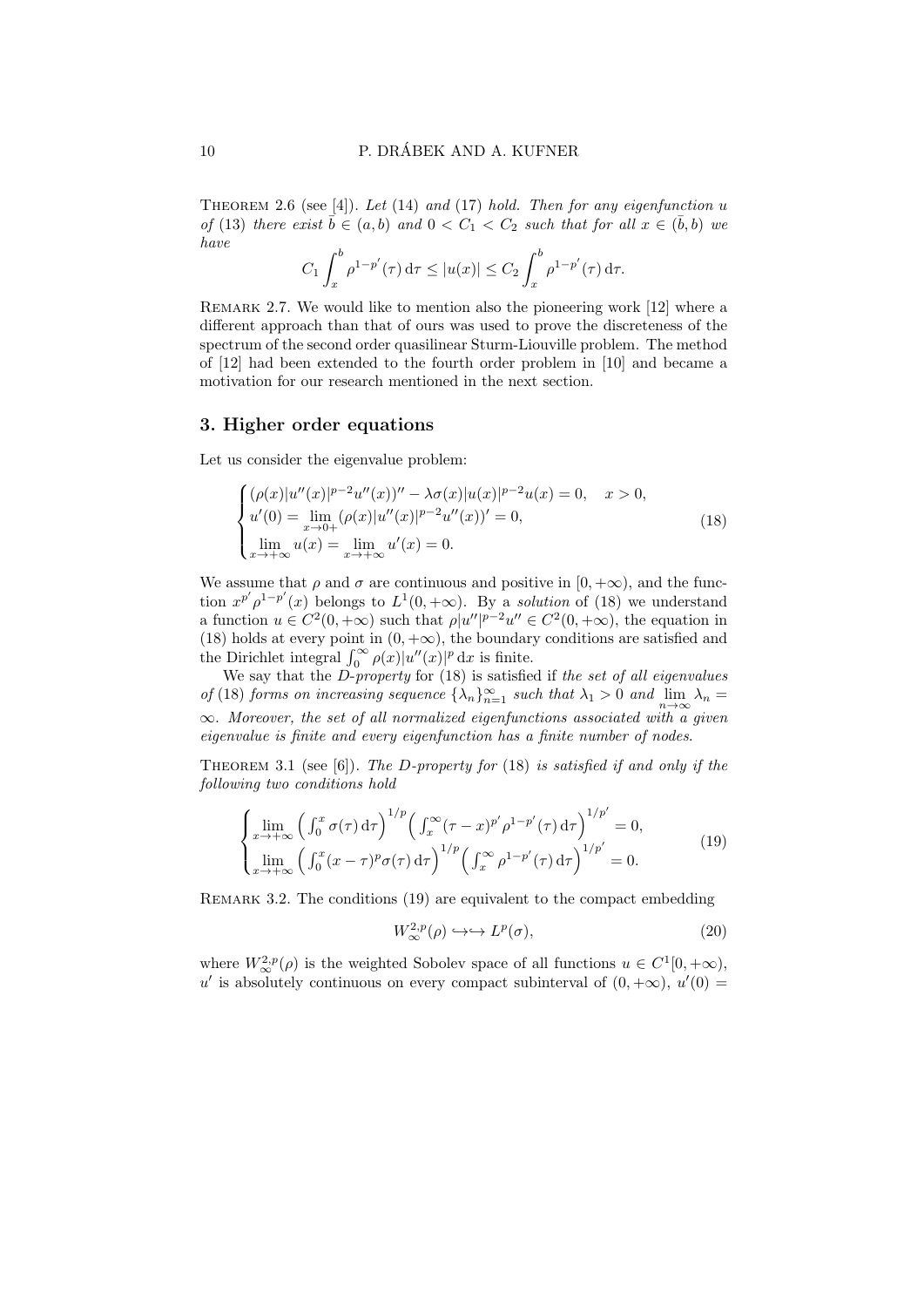THEOREM 2.6 (see  $[4]$ ). Let  $(14)$  and  $(17)$  hold. Then for any eigenfunction u of (13) there exist  $\bar{b} \in (a, b)$  and  $0 < C_1 < C_2$  such that for all  $x \in (\bar{b}, b)$  we have

$$
C_1 \int_x^b \rho^{1-p'}(\tau) d\tau \le |u(x)| \le C_2 \int_x^b \rho^{1-p'}(\tau) d\tau.
$$

REMARK 2.7. We would like to mention also the pioneering work [12] where a different approach than that of ours was used to prove the discreteness of the spectrum of the second order quasilinear Sturm-Liouville problem. The method of [12] had been extended to the fourth order problem in [10] and became a motivation for our research mentioned in the next section.

#### 3. Higher order equations

Let us consider the eigenvalue problem:

$$
\begin{cases}\n(\rho(x)|u''(x)|^{p-2}u''(x))'' - \lambda \sigma(x)|u(x)|^{p-2}u(x) = 0, \quad x > 0, \\
u'(0) = \lim_{x \to 0+} (\rho(x)|u''(x)|^{p-2}u''(x))' = 0, \\
\lim_{x \to +\infty} u(x) = \lim_{x \to +\infty} u'(x) = 0.\n\end{cases}
$$
\n(18)

We assume that  $\rho$  and  $\sigma$  are continuous and positive in [0, + $\infty$ ), and the function  $x^{p'} \rho^{1-p'}(x)$  belongs to  $L^1(0, +\infty)$ . By a solution of (18) we understand a function  $u \in C^2(0, +\infty)$  such that  $\rho |u''|^{p-2}u'' \in C^2(0, +\infty)$ , the equation in (18) holds at every point in  $(0, +\infty)$ , the boundary conditions are satisfied and the Dirichlet integral  $\int_0^\infty \rho(x)|u''(x)|^p dx$  is finite.

We say that the  $D$ -property for  $(18)$  is satisfied if the set of all eigenvalues of (18) forms on increasing sequence  $\{\lambda_n\}_{n=1}^{\infty}$  such that  $\lambda_1 > 0$  and  $\lim_{n \to \infty} \lambda_n =$  $\infty$ . Moreover, the set of all normalized eigenfunctions associated with a given eigenvalue is finite and every eigenfunction has a finite number of nodes.

THEOREM 3.1 (see [6]). The D-property for (18) is satisfied if and only if the following two conditions hold

$$
\begin{cases}\n\lim_{x \to +\infty} \left( \int_0^x \sigma(\tau) d\tau \right)^{1/p} \left( \int_x^\infty (\tau - x)^{p'} \rho^{1-p'}(\tau) d\tau \right)^{1/p'} = 0, \\
\lim_{x \to +\infty} \left( \int_0^x (x - \tau)^p \sigma(\tau) d\tau \right)^{1/p} \left( \int_x^\infty \rho^{1-p'}(\tau) d\tau \right)^{1/p'} = 0.\n\end{cases} (19)
$$

REMARK 3.2. The conditions (19) are equivalent to the compact embedding

$$
W^{2,p}_{\infty}(\rho) \hookrightarrow \hookrightarrow L^p(\sigma), \tag{20}
$$

where  $W^{2,p}_{\infty}(\rho)$  is the weighted Sobolev space of all functions  $u \in C^1[0, +\infty)$ , u' is absolutely continuous on every compact subinterval of  $(0, +\infty)$ ,  $u'(0) =$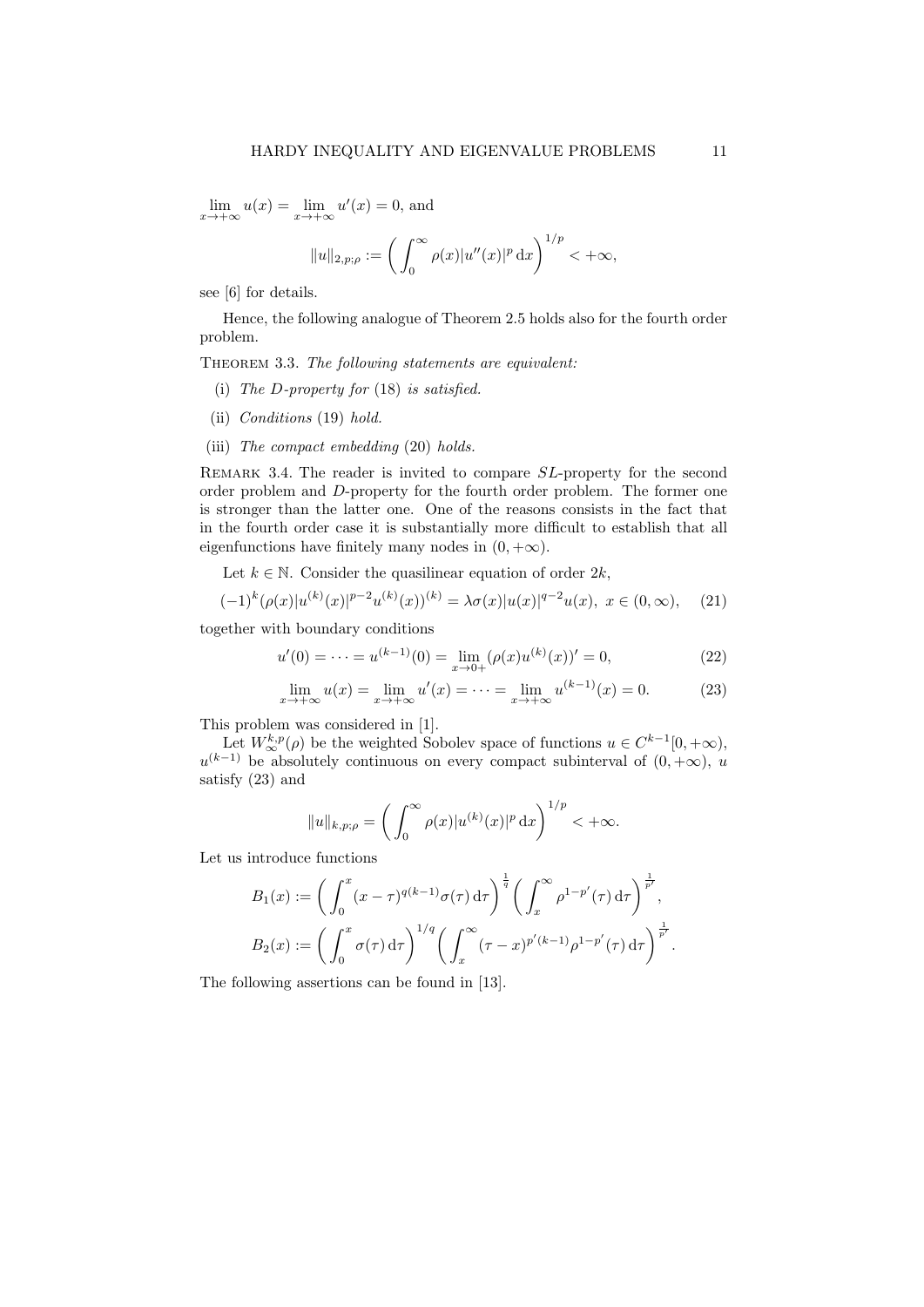$\lim_{x \to +\infty} u(x) = \lim_{x \to +\infty} u'(x) = 0$ , and

$$
||u||_{2,p;\rho} := \left(\int_0^\infty \rho(x)|u''(x)|^p \, \mathrm{d}x\right)^{1/p} < +\infty,
$$

see [6] for details.

Hence, the following analogue of Theorem 2.5 holds also for the fourth order problem.

THEOREM 3.3. The following statements are equivalent:

- (i) The D-property for  $(18)$  is satisfied.
- (ii) Conditions (19) hold.
- (iii) The compact embedding (20) holds.

REMARK 3.4. The reader is invited to compare SL-property for the second order problem and D-property for the fourth order problem. The former one is stronger than the latter one. One of the reasons consists in the fact that in the fourth order case it is substantially more difficult to establish that all eigenfunctions have finitely many nodes in  $(0, +\infty)$ .

Let  $k \in \mathbb{N}$ . Consider the quasilinear equation of order  $2k$ ,

$$
(-1)^{k} (\rho(x)|u^{(k)}(x)|^{p-2} u^{(k)}(x))^{(k)} = \lambda \sigma(x)|u(x)|^{q-2} u(x), \ x \in (0, \infty), \quad (21)
$$

together with boundary conditions

$$
u'(0) = \dots = u^{(k-1)}(0) = \lim_{x \to 0+} (\rho(x)u^{(k)}(x))' = 0,
$$
\n(22)

$$
\lim_{x \to +\infty} u(x) = \lim_{x \to +\infty} u'(x) = \dots = \lim_{x \to +\infty} u^{(k-1)}(x) = 0.
$$
 (23)

This problem was considered in [1].

Let  $W^{k,p}_{\infty}(\rho)$  be the weighted Sobolev space of functions  $u \in C^{k-1}[0, +\infty)$ ,  $u^{(k-1)}$  be absolutely continuous on every compact subinterval of  $(0, +\infty)$ , u satisfy (23) and

$$
||u||_{k,p;\rho} = \left(\int_0^\infty \rho(x)|u^{(k)}(x)|^p \,\mathrm{d}x\right)^{1/p} < +\infty.
$$

Let us introduce functions

$$
B_1(x) := \left(\int_0^x (x-\tau)^{q(k-1)}\sigma(\tau) d\tau\right)^{\frac{1}{q}} \left(\int_x^{\infty} \rho^{1-p'}(\tau) d\tau\right)^{\frac{1}{p'}},
$$
  

$$
B_2(x) := \left(\int_0^x \sigma(\tau) d\tau\right)^{1/q} \left(\int_x^{\infty} (\tau-x)^{p'(k-1)}\rho^{1-p'}(\tau) d\tau\right)^{\frac{1}{p'}}.
$$

The following assertions can be found in [13].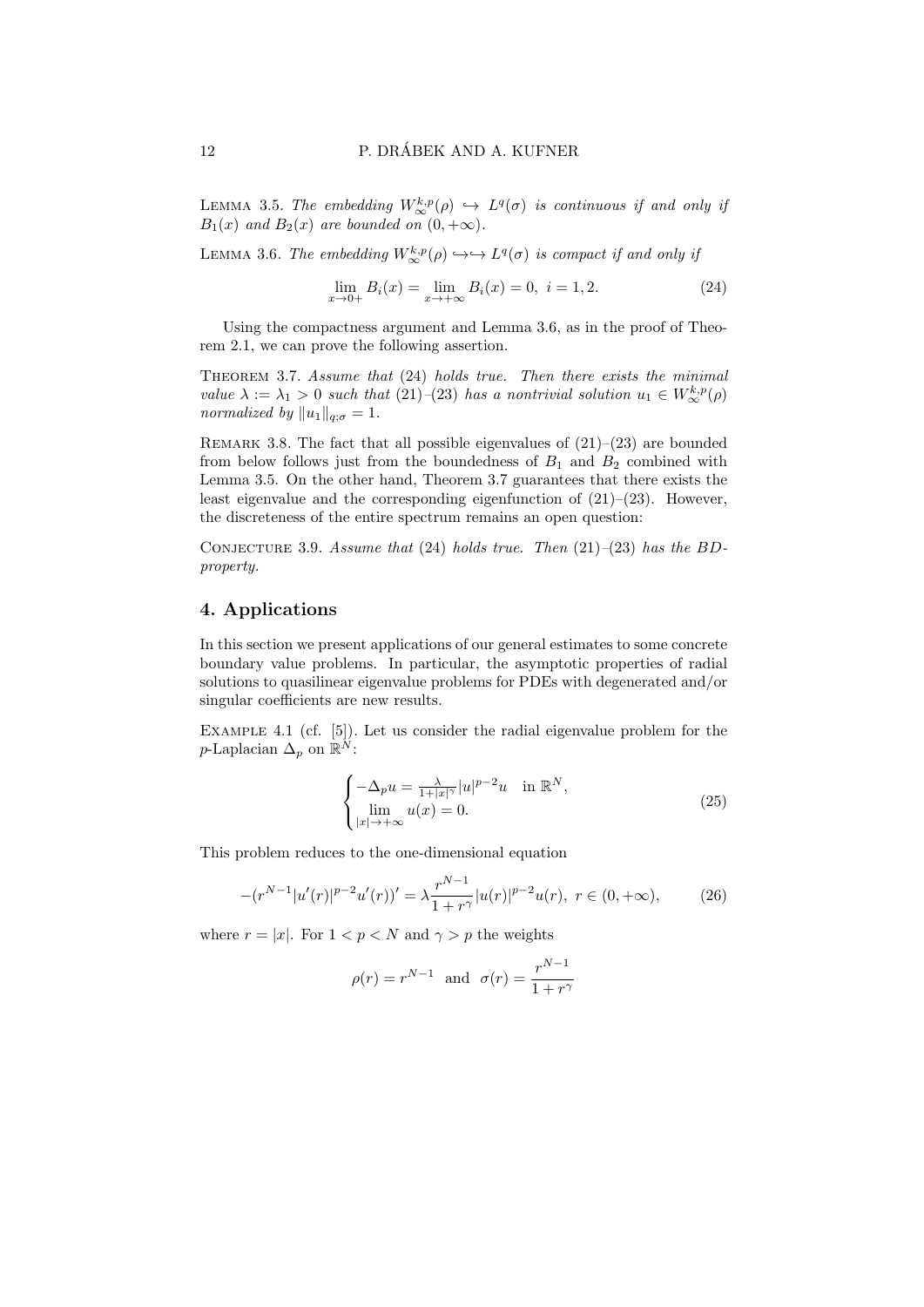LEMMA 3.5. The embedding  $W^{k,p}_{\infty}(\rho) \hookrightarrow L^q(\sigma)$  is continuous if and only if  $B_1(x)$  and  $B_2(x)$  are bounded on  $(0, +\infty)$ .

LEMMA 3.6. The embedding  $W^{k,p}_{\infty}(\rho) \hookrightarrow \hookrightarrow L^q(\sigma)$  is compact if and only if

$$
\lim_{x \to 0+} B_i(x) = \lim_{x \to +\infty} B_i(x) = 0, \ i = 1, 2. \tag{24}
$$

Using the compactness argument and Lemma 3.6, as in the proof of Theorem 2.1, we can prove the following assertion.

THEOREM 3.7. Assume that  $(24)$  holds true. Then there exists the minimal value  $\lambda := \lambda_1 > 0$  such that  $(21)$ - $(23)$  has a nontrivial solution  $u_1 \in W^{k,p}_{\infty}(\rho)$ normalized by  $||u_1||_{q;\sigma} = 1$ .

REMARK 3.8. The fact that all possible eigenvalues of  $(21)–(23)$  are bounded from below follows just from the boundedness of  $B_1$  and  $B_2$  combined with Lemma 3.5. On the other hand, Theorem 3.7 guarantees that there exists the least eigenvalue and the corresponding eigenfunction of  $(21)$ – $(23)$ . However, the discreteness of the entire spectrum remains an open question:

CONJECTURE 3.9. Assume that (24) holds true. Then  $(21)$ – $(23)$  has the BDproperty.

## 4. Applications

In this section we present applications of our general estimates to some concrete boundary value problems. In particular, the asymptotic properties of radial solutions to quasilinear eigenvalue problems for PDEs with degenerated and/or singular coefficients are new results.

Example 4.1 (cf. [5]). Let us consider the radial eigenvalue problem for the p-Laplacian  $\Delta_p$  on  $\mathbb{R}^N$ :

$$
\begin{cases}\n-\Delta_p u = \frac{\lambda}{1+|x|^{\gamma}} |u|^{p-2} u & \text{in } \mathbb{R}^N, \\
\lim_{|x| \to +\infty} u(x) = 0.\n\end{cases}
$$
\n(25)

This problem reduces to the one-dimensional equation

$$
-(r^{N-1}|u'(r)|^{p-2}u'(r))' = \lambda \frac{r^{N-1}}{1+r^{\gamma}}|u(r)|^{p-2}u(r), \ r \in (0, +\infty), \tag{26}
$$

where  $r = |x|$ . For  $1 < p < N$  and  $\gamma > p$  the weights

$$
\rho(r) = r^{N-1} \text{ and } \sigma(r) = \frac{r^{N-1}}{1+r^{\gamma}}
$$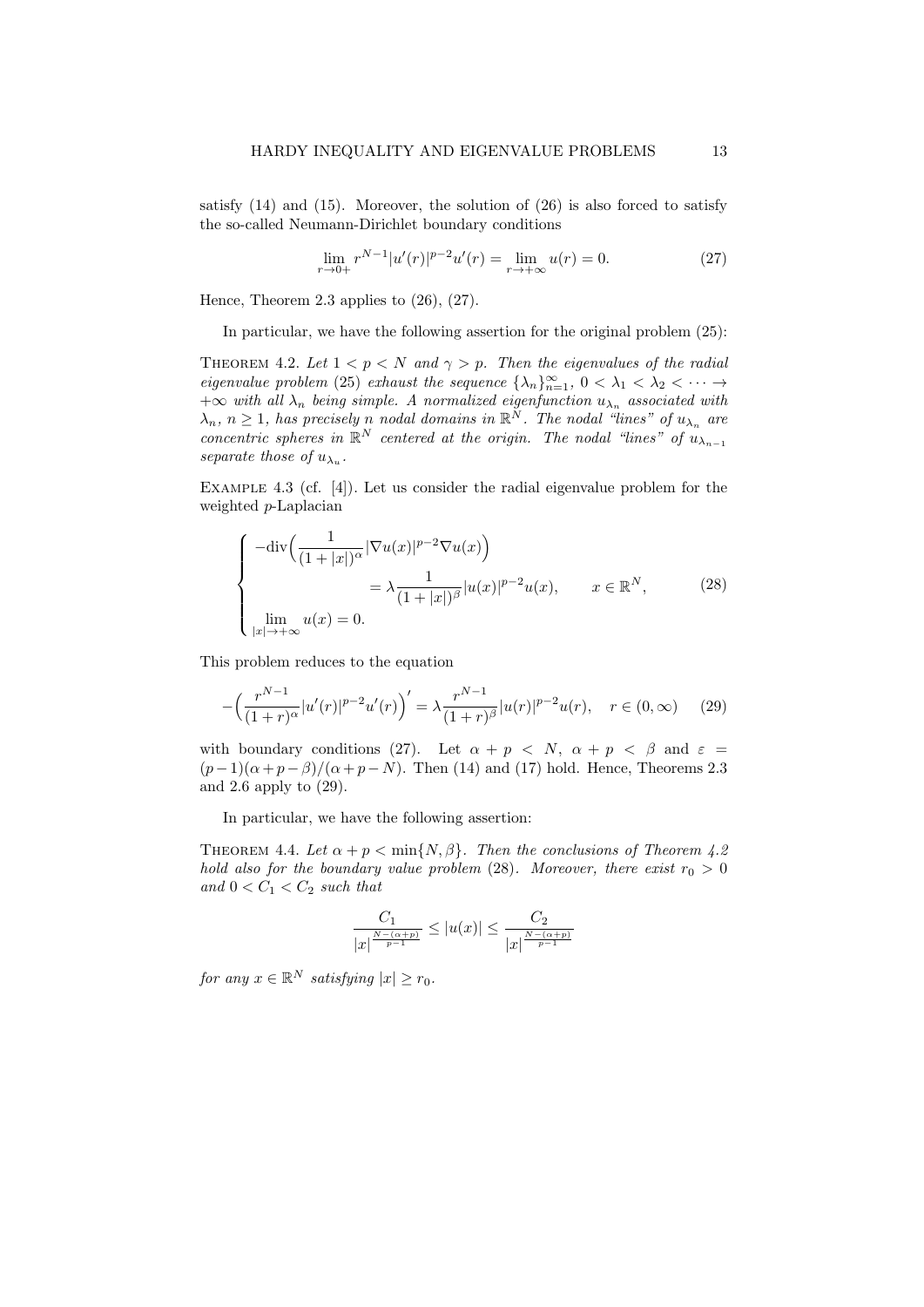satisfy  $(14)$  and  $(15)$ . Moreover, the solution of  $(26)$  is also forced to satisfy the so-called Neumann-Dirichlet boundary conditions

$$
\lim_{r \to 0+} r^{N-1} |u'(r)|^{p-2} u'(r) = \lim_{r \to +\infty} u(r) = 0.
$$
 (27)

Hence, Theorem 2.3 applies to  $(26)$ ,  $(27)$ .

In particular, we have the following assertion for the original problem (25):

THEOREM 4.2. Let  $1 < p < N$  and  $\gamma > p$ . Then the eigenvalues of the radial eigenvalue problem (25) exhaust the sequence  $\{\lambda_n\}_{n=1}^{\infty}$ ,  $0 < \lambda_1 < \lambda_2 < \cdots$  $+\infty$  with all  $\lambda_n$  being simple. A normalized eigenfunction  $u_{\lambda_n}$  associated with  $\lambda_n$ ,  $n \geq 1$ , has precisely n nodal domains in  $\mathbb{R}^N$ . The nodal "lines" of  $u_{\lambda_n}$  are concentric spheres in  $\mathbb{R}^N$  centered at the origin. The nodal "lines" of  $u_{\lambda_{n-1}}$ separate those of  $u_{\lambda_u}$ .

EXAMPLE 4.3 (cf. [4]). Let us consider the radial eigenvalue problem for the weighted p-Laplacian

$$
\begin{cases}\n-\text{div}\left(\frac{1}{(1+|x|)^{\alpha}}|\nabla u(x)|^{p-2}\nabla u(x)\right) \\
= \lambda \frac{1}{(1+|x|)^{\beta}}|u(x)|^{p-2}u(x), \quad x \in \mathbb{R}^{N}, \\
\lim_{|x| \to +\infty} u(x) = 0.\n\end{cases}
$$
\n(28)

This problem reduces to the equation

$$
-\left(\frac{r^{N-1}}{(1+r)^{\alpha}}|u'(r)|^{p-2}u'(r)\right)' = \lambda \frac{r^{N-1}}{(1+r)^{\beta}}|u(r)|^{p-2}u(r), \quad r \in (0, \infty) \tag{29}
$$

with boundary conditions (27). Let  $\alpha + p \leq N$ ,  $\alpha + p \leq \beta$  and  $\varepsilon =$  $(p-1)(\alpha+p-\beta)/(\alpha+p-N)$ . Then (14) and (17) hold. Hence, Theorems 2.3 and 2.6 apply to (29).

In particular, we have the following assertion:

THEOREM 4.4. Let  $\alpha + p < \min\{N, \beta\}$ . Then the conclusions of Theorem 4.2 hold also for the boundary value problem (28). Moreover, there exist  $r_0 > 0$ and  $0 < C_1 < C_2$  such that

$$
\frac{C_1}{|x|^{\frac{N-(\alpha+p)}{p-1}}} \le |u(x)| \le \frac{C_2}{|x|^{\frac{N-(\alpha+p)}{p-1}}}
$$

for any  $x \in \mathbb{R}^N$  satisfying  $|x| \ge r_0$ .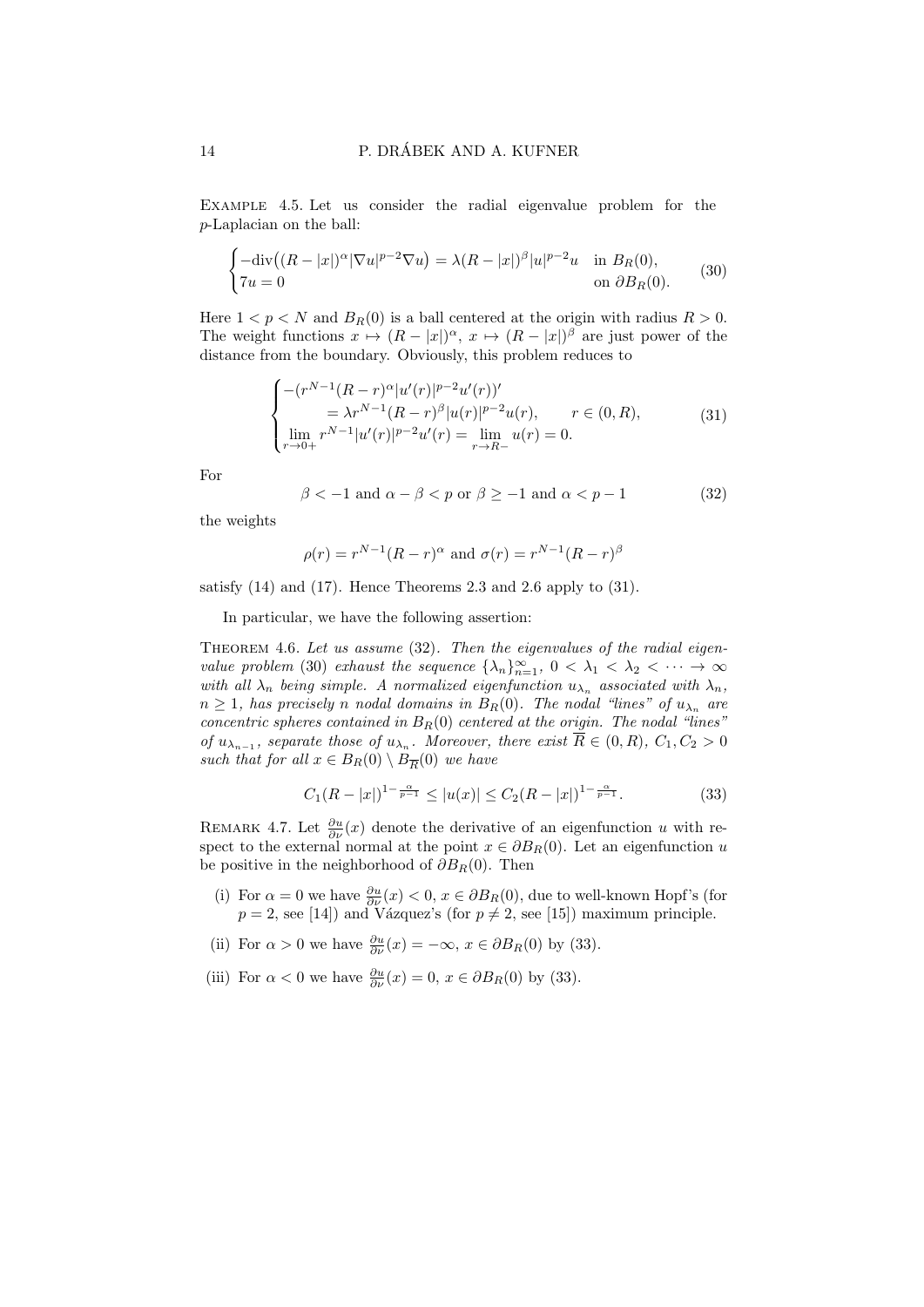Example 4.5. Let us consider the radial eigenvalue problem for the p-Laplacian on the ball:

$$
\begin{cases}\n-\text{div}\left((R-|x|)^\alpha |\nabla u|^{p-2}\nabla u\right) = \lambda (R-|x|)^\beta |u|^{p-2}u & \text{in } B_R(0), \\
7u = 0 & \text{on } \partial B_R(0).\n\end{cases}
$$
\n(30)

Here  $1 < p < N$  and  $B_R(0)$  is a ball centered at the origin with radius  $R > 0$ . The weight functions  $x \mapsto (R - |x|)^{\alpha}, x \mapsto (R - |x|)^{\beta}$  are just power of the distance from the boundary. Obviously, this problem reduces to

$$
\begin{cases}\n-(r^{N-1}(R-r)^{\alpha}|u'(r)|^{p-2}u'(r))' \\
= \lambda r^{N-1}(R-r)^{\beta}|u(r)|^{p-2}u(r), & r \in (0,R), \\
\lim_{r \to 0+} r^{N-1}|u'(r)|^{p-2}u'(r) = \lim_{r \to R-} u(r) = 0.\n\end{cases}
$$
\n(31)

For

$$
\beta < -1 \text{ and } \alpha - \beta < p \text{ or } \beta \ge -1 \text{ and } \alpha < p - 1 \tag{32}
$$

the weights

$$
\rho(r) = r^{N-1}(R-r)^{\alpha} \text{ and } \sigma(r) = r^{N-1}(R-r)^{\beta}
$$

satisfy (14) and (17). Hence Theorems 2.3 and 2.6 apply to (31).

In particular, we have the following assertion:

THEOREM 4.6. Let us assume (32). Then the eigenvalues of the radial eigenvalue problem (30) exhaust the sequence  $\{\lambda_n\}_{n=1}^{\infty}$ ,  $0 < \lambda_1 < \lambda_2 < \cdots \to \infty$ with all  $\lambda_n$  being simple. A normalized eigenfunction  $u_{\lambda_n}$  associated with  $\lambda_n$ ,  $n \geq 1$ , has precisely n nodal domains in  $B_R(0)$ . The nodal "lines" of  $u_{\lambda_n}$  are concentric spheres contained in  $B_R(0)$  centered at the origin. The nodal "lines" of  $u_{\lambda_{n-1}}$ , separate those of  $u_{\lambda_n}$ . Moreover, there exist  $\overline{R} \in (0, R)$ ,  $C_1, C_2 > 0$ such that for all  $x \in B_R(0) \setminus B_{\overline{R}}(0)$  we have

$$
C_1(R-|x|)^{1-\frac{\alpha}{p-1}} \le |u(x)| \le C_2(R-|x|)^{1-\frac{\alpha}{p-1}}.\tag{33}
$$

REMARK 4.7. Let  $\frac{\partial u}{\partial \nu}(x)$  denote the derivative of an eigenfunction u with respect to the external normal at the point  $x \in \partial B_R(0)$ . Let an eigenfunction u be positive in the neighborhood of  $\partial B_R(0)$ . Then

- (i) For  $\alpha = 0$  we have  $\frac{\partial u}{\partial \nu}(x) < 0$ ,  $x \in \partial B_R(0)$ , due to well-known Hopf's (for  $p = 2$ , see [14]) and Vázquez's (for  $p \neq 2$ , see [15]) maximum principle.
- (ii) For  $\alpha > 0$  we have  $\frac{\partial u}{\partial \nu}(x) = -\infty$ ,  $x \in \partial B_R(0)$  by (33).
- (iii) For  $\alpha < 0$  we have  $\frac{\partial u}{\partial \nu}(x) = 0, x \in \partial B_R(0)$  by (33).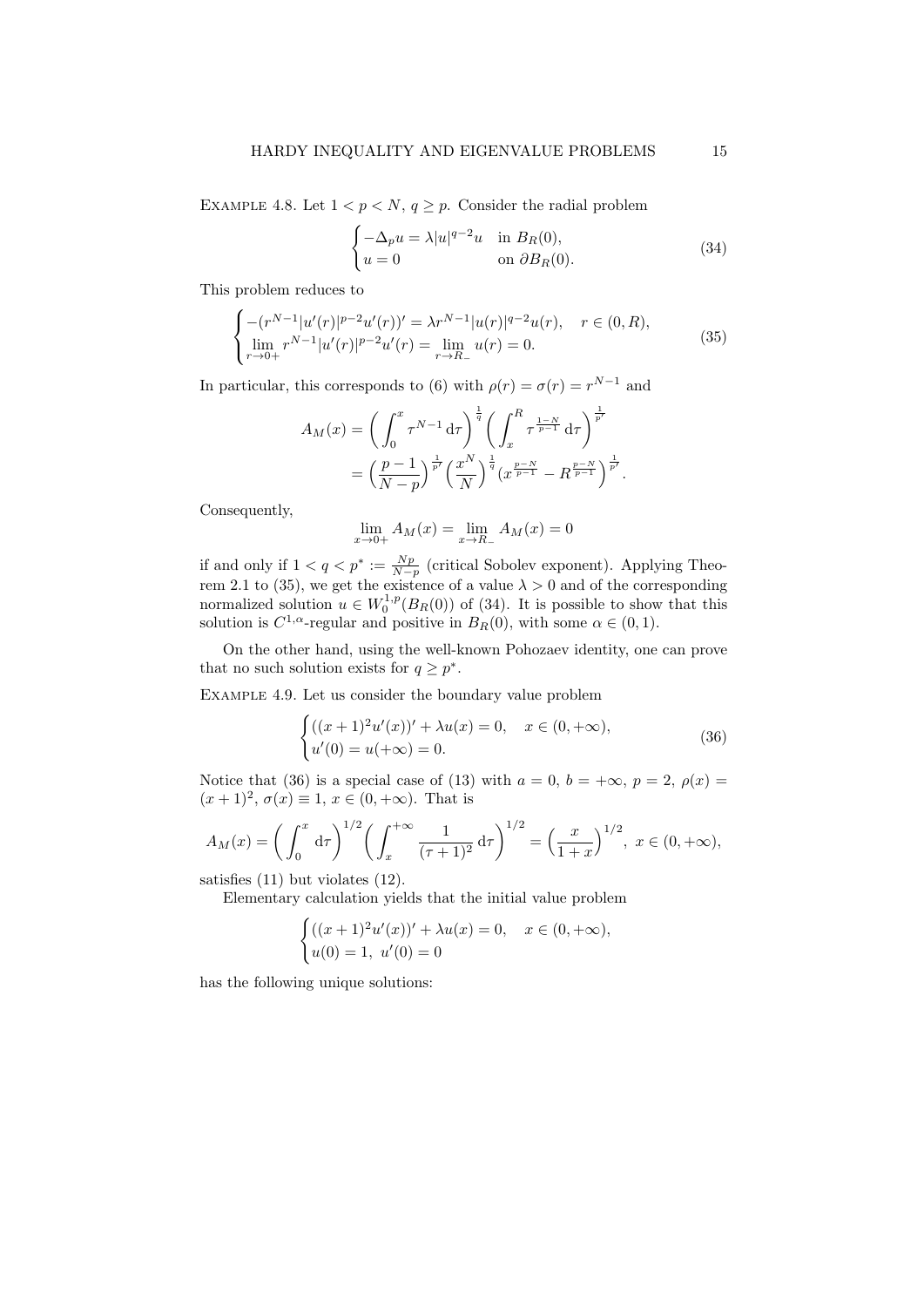EXAMPLE 4.8. Let  $1 < p < N$ ,  $q \ge p$ . Consider the radial problem

$$
\begin{cases}\n-\Delta_p u = \lambda |u|^{q-2}u & \text{in } B_R(0), \\
u = 0 & \text{on } \partial B_R(0).\n\end{cases}
$$
\n(34)

This problem reduces to

$$
\begin{cases}\n-(r^{N-1}|u'(r)|^{p-2}u'(r))' = \lambda r^{N-1}|u(r)|^{q-2}u(r), & r \in (0, R), \\
\lim_{r \to 0+} r^{N-1}|u'(r)|^{p-2}u'(r) = \lim_{r \to R_-} u(r) = 0.\n\end{cases}
$$
\n(35)

In particular, this corresponds to (6) with  $\rho(r) = \sigma(r) = r^{N-1}$  and

$$
A_M(x) = \left(\int_0^x \tau^{N-1} d\tau\right)^{\frac{1}{q}} \left(\int_x^R \tau^{\frac{1-N}{p-1}} d\tau\right)^{\frac{1}{p'}} = \left(\frac{p-1}{N-p}\right)^{\frac{1}{p'}} \left(\frac{x^N}{N}\right)^{\frac{1}{q}} \left(x^{\frac{p-N}{p-1}} - R^{\frac{p-N}{p-1}}\right)^{\frac{1}{p'}}.
$$

Consequently,

$$
\lim_{x \to 0+} A_M(x) = \lim_{x \to R_-} A_M(x) = 0
$$

if and only if  $1 < q < p^* := \frac{Np}{N-p}$  (critical Sobolev exponent). Applying Theorem 2.1 to (35), we get the existence of a value  $\lambda > 0$  and of the corresponding normalized solution  $u \in W_0^{1,p}(B_R(0))$  of (34). It is possible to show that this solution is  $C^{1,\alpha}$ -regular and positive in  $B_R(0)$ , with some  $\alpha \in (0,1)$ .

On the other hand, using the well-known Pohozaev identity, one can prove that no such solution exists for  $q \geq p^*$ .

Example 4.9. Let us consider the boundary value problem

$$
\begin{cases}\n((x+1)^2 u'(x))' + \lambda u(x) = 0, & x \in (0, +\infty), \\
u'(0) = u(+\infty) = 0.\n\end{cases}
$$
\n(36)

Notice that (36) is a special case of (13) with  $a = 0$ ,  $b = +\infty$ ,  $p = 2$ ,  $\rho(x) =$  $(x+1)^2, \sigma(x) \equiv 1, x \in (0, +\infty)$ . That is

$$
A_M(x) = \left(\int_0^x \mathrm{d}\tau\right)^{1/2} \left(\int_x^{+\infty} \frac{1}{(\tau+1)^2} \mathrm{d}\tau\right)^{1/2} = \left(\frac{x}{1+x}\right)^{1/2}, \ x \in (0, +\infty),
$$

satisfies (11) but violates (12).

Elementary calculation yields that the initial value problem

$$
\begin{cases}\n((x+1)^2 u'(x))' + \lambda u(x) = 0, & x \in (0, +\infty), \\
u(0) = 1, u'(0) = 0\n\end{cases}
$$

has the following unique solutions: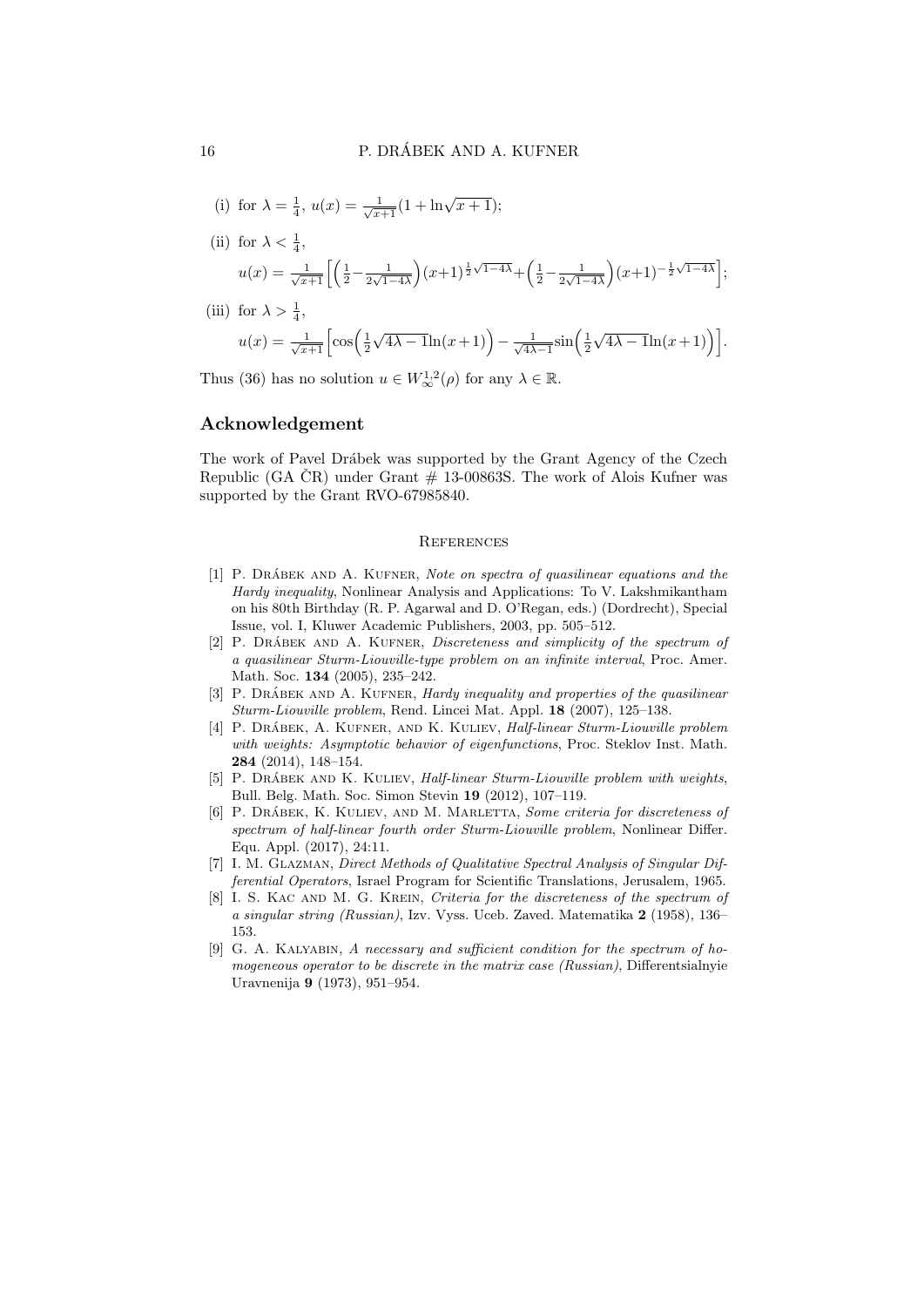(i) for 
$$
\lambda = \frac{1}{4}
$$
,  $u(x) = \frac{1}{\sqrt{x+1}}(1 + \ln \sqrt{x+1});$ 

- (ii) for  $\lambda < \frac{1}{4}$ ,  $u(x) = \frac{1}{\sqrt{x+1}} \left[ \left( \frac{1}{2} - \frac{1}{2\sqrt{1-x^2}} \right) \right]$  $\frac{1}{2\sqrt{1-4\lambda}}(x+1)^{\frac{1}{2}\sqrt{1-4\lambda}}+\left(\frac{1}{2}-\frac{1}{2\sqrt{1-\lambda}}\right)$  $\frac{1}{2\sqrt{1-4\lambda}}\Big) (x+1)^{-\frac{1}{2}\sqrt{1-4\lambda}};$
- (iii) for  $\lambda > \frac{1}{4}$ , 4  $u(x) = \frac{1}{\sqrt{x+1}} \left[ \cos \left( \frac{1}{2} \right) \right]$  $\sqrt{4\lambda-1}\ln(x+1)\big)-\frac{1}{\sqrt{4\lambda}}$  $\frac{1}{4\lambda-1}\sin\left(\frac{1}{2}\right)$  $\sqrt{4\lambda-1}\ln(x+1)\big)\big].$

Thus (36) has no solution  $u \in W^{1,2}_{\infty}(\rho)$  for any  $\lambda \in \mathbb{R}$ .

#### Acknowledgement

The work of Pavel Drábek was supported by the Grant Agency of the Czech Republic (GA  $\text{CR}$ ) under Grant  $\#$  13-00863S. The work of Alois Kufner was supported by the Grant RVO-67985840.

#### **REFERENCES**

- [1] P. DRÁBEK AND A. KUFNER, Note on spectra of quasilinear equations and the Hardy inequality, Nonlinear Analysis and Applications: To V. Lakshmikantham on his 80th Birthday (R. P. Agarwal and D. O'Regan, eds.) (Dordrecht), Special Issue, vol. I, Kluwer Academic Publishers, 2003, pp. 505–512.
- [2] P. DRÁBEK AND A. KUFNER, *Discreteness and simplicity of the spectrum of* a quasilinear Sturm-Liouville-type problem on an infinite interval, Proc. Amer. Math. Soc. 134 (2005), 235–242.
- [3] P. DRÁBEK AND A. KUFNER, *Hardy inequality and properties of the quasilinear* Sturm-Liouville problem, Rend. Lincei Mat. Appl. 18 (2007), 125–138.
- [4] P. DRÁBEK, A. KUFNER, AND K. KULIEV, *Half-linear Sturm-Liouville problem* with weights: Asymptotic behavior of eigenfunctions, Proc. Steklov Inst. Math. 284 (2014), 148–154.
- [5] P. DRÁBEK AND K. KULIEV, *Half-linear Sturm-Liouville problem with weights*, Bull. Belg. Math. Soc. Simon Stevin 19 (2012), 107–119.
- [6] P. DRÁBEK, K. KULIEV, AND M. MARLETTA, Some criteria for discreteness of spectrum of half-linear fourth order Sturm-Liouville problem, Nonlinear Differ. Equ. Appl. (2017), 24:11.
- [7] I. M. Glazman, Direct Methods of Qualitative Spectral Analysis of Singular Differential Operators, Israel Program for Scientific Translations, Jerusalem, 1965.
- [8] I. S. KAC AND M. G. KREIN, Criteria for the discreteness of the spectrum of a singular string (Russian), Izv. Vyss. Uceb. Zaved. Matematika 2 (1958), 136– 153.
- [9] G. A. Kalyabin, A necessary and sufficient condition for the spectrum of homogeneous operator to be discrete in the matrix case (Russian), Differentsialnyie Uravnenija 9 (1973), 951–954.